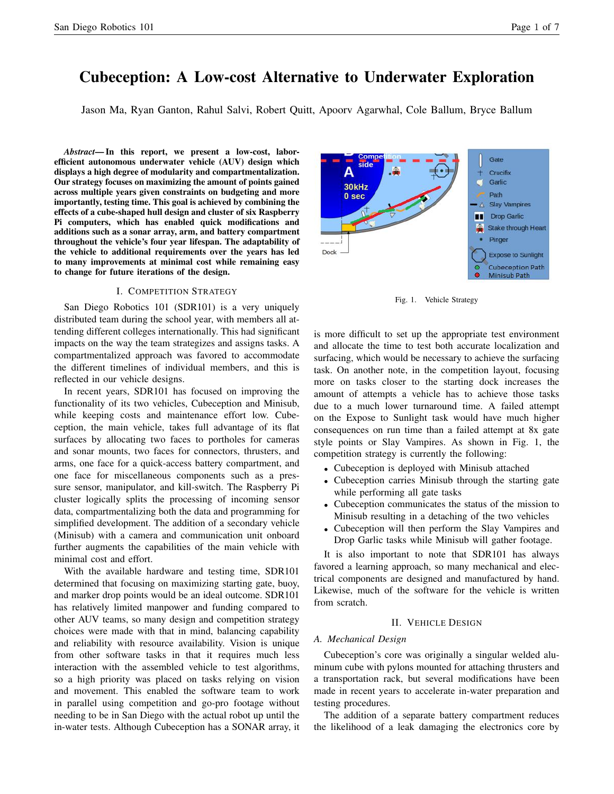# Cubeception: A Low-cost Alternative to Underwater Exploration

Jason Ma, Ryan Ganton, Rahul Salvi, Robert Quitt, Apoorv Agarwhal, Cole Ballum, Bryce Ballum

*Abstract*— In this report, we present a low-cost, laborefficient autonomous underwater vehicle (AUV) design which displays a high degree of modularity and compartmentalization. Our strategy focuses on maximizing the amount of points gained across multiple years given constraints on budgeting and more importantly, testing time. This goal is achieved by combining the effects of a cube-shaped hull design and cluster of six Raspberry Pi computers, which has enabled quick modifications and additions such as a sonar array, arm, and battery compartment throughout the vehicle's four year lifespan. The adaptability of the vehicle to additional requirements over the years has led to many improvements at minimal cost while remaining easy to change for future iterations of the design.

## I. COMPETITION STRATEGY

San Diego Robotics 101 (SDR101) is a very uniquely distributed team during the school year, with members all attending different colleges internationally. This had significant impacts on the way the team strategizes and assigns tasks. A compartmentalized approach was favored to accommodate the different timelines of individual members, and this is reflected in our vehicle designs.

In recent years, SDR101 has focused on improving the functionality of its two vehicles, Cubeception and Minisub, while keeping costs and maintenance effort low. Cubeception, the main vehicle, takes full advantage of its flat surfaces by allocating two faces to portholes for cameras and sonar mounts, two faces for connectors, thrusters, and arms, one face for a quick-access battery compartment, and one face for miscellaneous components such as a pressure sensor, manipulator, and kill-switch. The Raspberry Pi cluster logically splits the processing of incoming sensor data, compartmentalizing both the data and programming for simplified development. The addition of a secondary vehicle (Minisub) with a camera and communication unit onboard further augments the capabilities of the main vehicle with minimal cost and effort.

With the available hardware and testing time, SDR101 determined that focusing on maximizing starting gate, buoy, and marker drop points would be an ideal outcome. SDR101 has relatively limited manpower and funding compared to other AUV teams, so many design and competition strategy choices were made with that in mind, balancing capability and reliability with resource availability. Vision is unique from other software tasks in that it requires much less interaction with the assembled vehicle to test algorithms, so a high priority was placed on tasks relying on vision and movement. This enabled the software team to work in parallel using competition and go-pro footage without needing to be in San Diego with the actual robot up until the in-water tests. Although Cubeception has a SONAR array, it



Fig. 1. Vehicle Strategy

is more difficult to set up the appropriate test environment and allocate the time to test both accurate localization and surfacing, which would be necessary to achieve the surfacing task. On another note, in the competition layout, focusing more on tasks closer to the starting dock increases the amount of attempts a vehicle has to achieve those tasks due to a much lower turnaround time. A failed attempt on the Expose to Sunlight task would have much higher consequences on run time than a failed attempt at 8x gate style points or Slay Vampires. As shown in Fig. 1, the competition strategy is currently the following:

- Cubeception is deployed with Minisub attached
- Cubeception carries Minisub through the starting gate while performing all gate tasks
- Cubeception communicates the status of the mission to Minisub resulting in a detaching of the two vehicles
- Cubeception will then perform the Slay Vampires and Drop Garlic tasks while Minisub will gather footage.

It is also important to note that SDR101 has always favored a learning approach, so many mechanical and electrical components are designed and manufactured by hand. Likewise, much of the software for the vehicle is written from scratch.

# II. VEHICLE DESIGN

## *A. Mechanical Design*

Cubeception's core was originally a singular welded aluminum cube with pylons mounted for attaching thrusters and a transportation rack, but several modifications have been made in recent years to accelerate in-water preparation and testing procedures.

The addition of a separate battery compartment reduces the likelihood of a leak damaging the electronics core by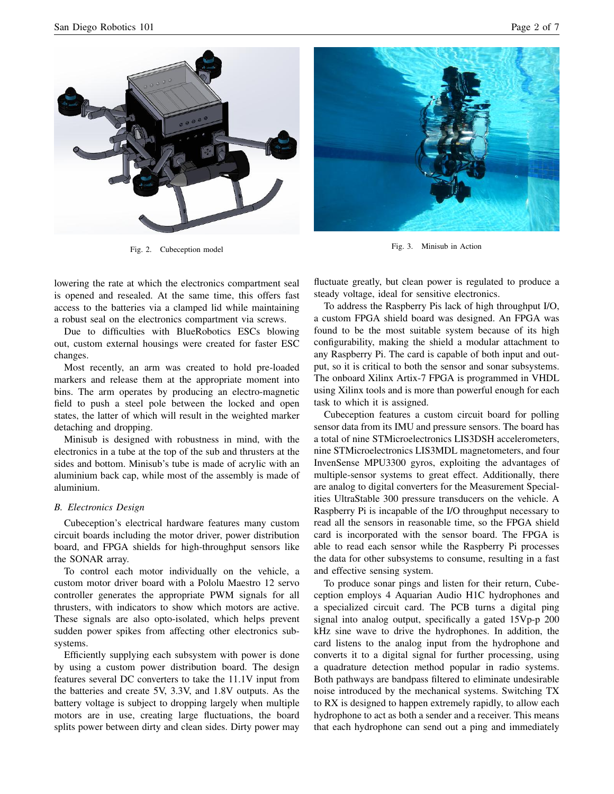

Fig. 2. Cubeception model



Fig. 3. Minisub in Action

lowering the rate at which the electronics compartment seal is opened and resealed. At the same time, this offers fast access to the batteries via a clamped lid while maintaining a robust seal on the electronics compartment via screws.

Due to difficulties with BlueRobotics ESCs blowing out, custom external housings were created for faster ESC changes.

Most recently, an arm was created to hold pre-loaded markers and release them at the appropriate moment into bins. The arm operates by producing an electro-magnetic field to push a steel pole between the locked and open states, the latter of which will result in the weighted marker detaching and dropping.

Minisub is designed with robustness in mind, with the electronics in a tube at the top of the sub and thrusters at the sides and bottom. Minisub's tube is made of acrylic with an aluminium back cap, while most of the assembly is made of aluminium.

## *B. Electronics Design*

Cubeception's electrical hardware features many custom circuit boards including the motor driver, power distribution board, and FPGA shields for high-throughput sensors like the SONAR array.

To control each motor individually on the vehicle, a custom motor driver board with a Pololu Maestro 12 servo controller generates the appropriate PWM signals for all thrusters, with indicators to show which motors are active. These signals are also opto-isolated, which helps prevent sudden power spikes from affecting other electronics subsystems.

Efficiently supplying each subsystem with power is done by using a custom power distribution board. The design features several DC converters to take the 11.1V input from the batteries and create 5V, 3.3V, and 1.8V outputs. As the battery voltage is subject to dropping largely when multiple motors are in use, creating large fluctuations, the board splits power between dirty and clean sides. Dirty power may

fluctuate greatly, but clean power is regulated to produce a steady voltage, ideal for sensitive electronics.

To address the Raspberry Pis lack of high throughput I/O, a custom FPGA shield board was designed. An FPGA was found to be the most suitable system because of its high configurability, making the shield a modular attachment to any Raspberry Pi. The card is capable of both input and output, so it is critical to both the sensor and sonar subsystems. The onboard Xilinx Artix-7 FPGA is programmed in VHDL using Xilinx tools and is more than powerful enough for each task to which it is assigned.

Cubeception features a custom circuit board for polling sensor data from its IMU and pressure sensors. The board has a total of nine STMicroelectronics LIS3DSH accelerometers, nine STMicroelectronics LIS3MDL magnetometers, and four InvenSense MPU3300 gyros, exploiting the advantages of multiple-sensor systems to great effect. Additionally, there are analog to digital converters for the Measurement Specialities UltraStable 300 pressure transducers on the vehicle. A Raspberry Pi is incapable of the I/O throughput necessary to read all the sensors in reasonable time, so the FPGA shield card is incorporated with the sensor board. The FPGA is able to read each sensor while the Raspberry Pi processes the data for other subsystems to consume, resulting in a fast and effective sensing system.

To produce sonar pings and listen for their return, Cubeception employs 4 Aquarian Audio H1C hydrophones and a specialized circuit card. The PCB turns a digital ping signal into analog output, specifically a gated 15Vp-p 200 kHz sine wave to drive the hydrophones. In addition, the card listens to the analog input from the hydrophone and converts it to a digital signal for further processing, using a quadrature detection method popular in radio systems. Both pathways are bandpass filtered to eliminate undesirable noise introduced by the mechanical systems. Switching TX to RX is designed to happen extremely rapidly, to allow each hydrophone to act as both a sender and a receiver. This means that each hydrophone can send out a ping and immediately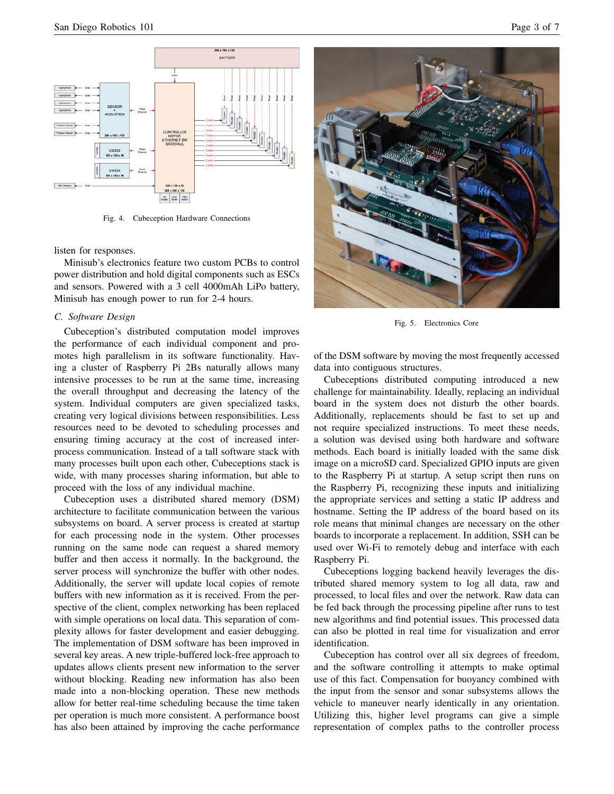

Fig. 4. Cubeception Hardware Connections

listen for responses.

Minisub's electronics feature two custom PCBs to control power distribution and hold digital components such as ESCs and sensors. Powered with a 3 cell 4000mAh LiPo battery, Minisub has enough power to run for 2-4 hours.

### *C. Software Design*

Cubeception's distributed computation model improves the performance of each individual component and promotes high parallelism in its software functionality. Having a cluster of Raspberry Pi 2Bs naturally allows many intensive processes to be run at the same time, increasing the overall throughput and decreasing the latency of the system. Individual computers are given specialized tasks, creating very logical divisions between responsibilities. Less resources need to be devoted to scheduling processes and ensuring timing accuracy at the cost of increased interprocess communication. Instead of a tall software stack with many processes built upon each other, Cubeceptions stack is wide, with many processes sharing information, but able to proceed with the loss of any individual machine.

Cubeception uses a distributed shared memory (DSM) architecture to facilitate communication between the various subsystems on board. A server process is created at startup for each processing node in the system. Other processes running on the same node can request a shared memory buffer and then access it normally. In the background, the server process will synchronize the buffer with other nodes. Additionally, the server will update local copies of remote buffers with new information as it is received. From the perspective of the client, complex networking has been replaced with simple operations on local data. This separation of complexity allows for faster development and easier debugging. The implementation of DSM software has been improved in several key areas. A new triple-buffered lock-free approach to updates allows clients present new information to the server without blocking. Reading new information has also been made into a non-blocking operation. These new methods allow for better real-time scheduling because the time taken per operation is much more consistent. A performance boost has also been attained by improving the cache performance



Fig. 5. Electronics Core

of the DSM software by moving the most frequently accessed data into contiguous structures.

Cubeceptions distributed computing introduced a new challenge for maintainability. Ideally, replacing an individual board in the system does not disturb the other boards. Additionally, replacements should be fast to set up and not require specialized instructions. To meet these needs, a solution was devised using both hardware and software methods. Each board is initially loaded with the same disk image on a microSD card. Specialized GPIO inputs are given to the Raspberry Pi at startup. A setup script then runs on the Raspberry Pi, recognizing these inputs and initializing the appropriate services and setting a static IP address and hostname. Setting the IP address of the board based on its role means that minimal changes are necessary on the other boards to incorporate a replacement. In addition, SSH can be used over Wi-Fi to remotely debug and interface with each Raspberry Pi.

Cubeceptions logging backend heavily leverages the distributed shared memory system to log all data, raw and processed, to local files and over the network. Raw data can be fed back through the processing pipeline after runs to test new algorithms and find potential issues. This processed data can also be plotted in real time for visualization and error identification.

Cubeception has control over all six degrees of freedom, and the software controlling it attempts to make optimal use of this fact. Compensation for buoyancy combined with the input from the sensor and sonar subsystems allows the vehicle to maneuver nearly identically in any orientation. Utilizing this, higher level programs can give a simple representation of complex paths to the controller process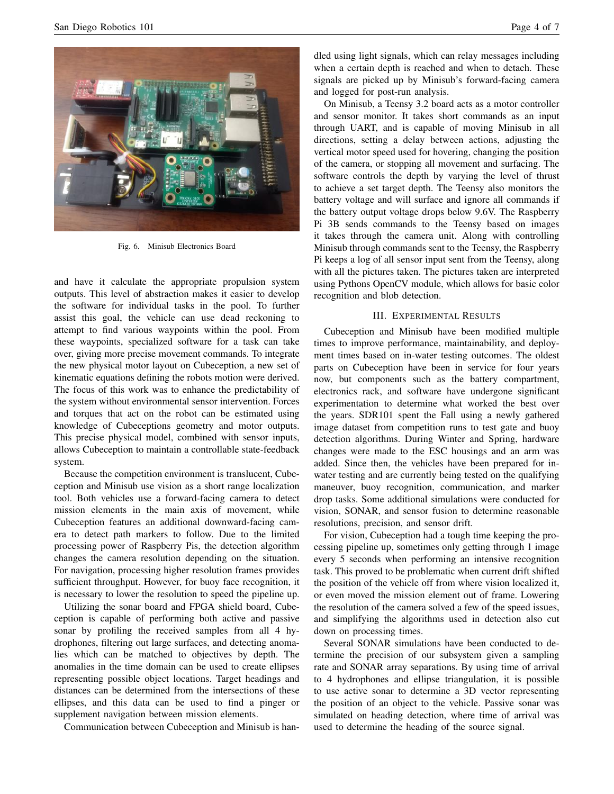

Fig. 6. Minisub Electronics Board

and have it calculate the appropriate propulsion system outputs. This level of abstraction makes it easier to develop the software for individual tasks in the pool. To further assist this goal, the vehicle can use dead reckoning to attempt to find various waypoints within the pool. From these waypoints, specialized software for a task can take over, giving more precise movement commands. To integrate the new physical motor layout on Cubeception, a new set of kinematic equations defining the robots motion were derived. The focus of this work was to enhance the predictability of the system without environmental sensor intervention. Forces and torques that act on the robot can be estimated using knowledge of Cubeceptions geometry and motor outputs. This precise physical model, combined with sensor inputs, allows Cubeception to maintain a controllable state-feedback system.

Because the competition environment is translucent, Cubeception and Minisub use vision as a short range localization tool. Both vehicles use a forward-facing camera to detect mission elements in the main axis of movement, while Cubeception features an additional downward-facing camera to detect path markers to follow. Due to the limited processing power of Raspberry Pis, the detection algorithm changes the camera resolution depending on the situation. For navigation, processing higher resolution frames provides sufficient throughput. However, for buoy face recognition, it is necessary to lower the resolution to speed the pipeline up.

Utilizing the sonar board and FPGA shield board, Cubeception is capable of performing both active and passive sonar by profiling the received samples from all 4 hydrophones, filtering out large surfaces, and detecting anomalies which can be matched to objectives by depth. The anomalies in the time domain can be used to create ellipses representing possible object locations. Target headings and distances can be determined from the intersections of these ellipses, and this data can be used to find a pinger or supplement navigation between mission elements.

Communication between Cubeception and Minisub is han-

dled using light signals, which can relay messages including when a certain depth is reached and when to detach. These signals are picked up by Minisub's forward-facing camera and logged for post-run analysis.

On Minisub, a Teensy 3.2 board acts as a motor controller and sensor monitor. It takes short commands as an input through UART, and is capable of moving Minisub in all directions, setting a delay between actions, adjusting the vertical motor speed used for hovering, changing the position of the camera, or stopping all movement and surfacing. The software controls the depth by varying the level of thrust to achieve a set target depth. The Teensy also monitors the battery voltage and will surface and ignore all commands if the battery output voltage drops below 9.6V. The Raspberry Pi 3B sends commands to the Teensy based on images it takes through the camera unit. Along with controlling Minisub through commands sent to the Teensy, the Raspberry Pi keeps a log of all sensor input sent from the Teensy, along with all the pictures taken. The pictures taken are interpreted using Pythons OpenCV module, which allows for basic color recognition and blob detection.

# III. EXPERIMENTAL RESULTS

Cubeception and Minisub have been modified multiple times to improve performance, maintainability, and deployment times based on in-water testing outcomes. The oldest parts on Cubeception have been in service for four years now, but components such as the battery compartment, electronics rack, and software have undergone significant experimentation to determine what worked the best over the years. SDR101 spent the Fall using a newly gathered image dataset from competition runs to test gate and buoy detection algorithms. During Winter and Spring, hardware changes were made to the ESC housings and an arm was added. Since then, the vehicles have been prepared for inwater testing and are currently being tested on the qualifying maneuver, buoy recognition, communication, and marker drop tasks. Some additional simulations were conducted for vision, SONAR, and sensor fusion to determine reasonable resolutions, precision, and sensor drift.

For vision, Cubeception had a tough time keeping the processing pipeline up, sometimes only getting through 1 image every 5 seconds when performing an intensive recognition task. This proved to be problematic when current drift shifted the position of the vehicle off from where vision localized it, or even moved the mission element out of frame. Lowering the resolution of the camera solved a few of the speed issues, and simplifying the algorithms used in detection also cut down on processing times.

Several SONAR simulations have been conducted to determine the precision of our subsystem given a sampling rate and SONAR array separations. By using time of arrival to 4 hydrophones and ellipse triangulation, it is possible to use active sonar to determine a 3D vector representing the position of an object to the vehicle. Passive sonar was simulated on heading detection, where time of arrival was used to determine the heading of the source signal.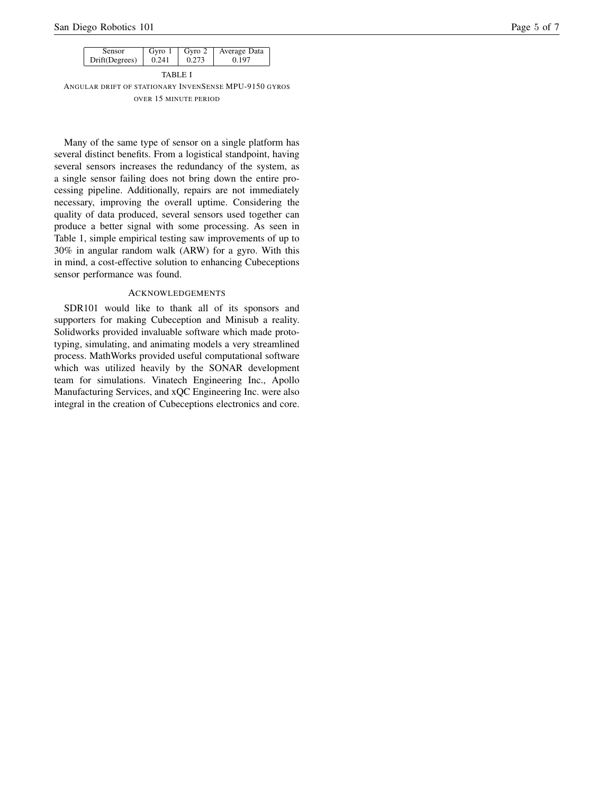| <b>Sensor</b>  | 0.241 | Gyro $1 \mid$ Gyro 2 | Average Data |  |  |  |  |
|----------------|-------|----------------------|--------------|--|--|--|--|
| Drift(Degrees) |       | 0.273                | 0.197        |  |  |  |  |
|                |       |                      |              |  |  |  |  |

TABLE I ANGULAR DRIFT OF STATIONARY INVEN SENSE MPU-9150 GYROS OVER 15 MINUTE PERIOD

Many of the same type of sensor on a single platform has several distinct benefits. From a logistical standpoint, having several sensors increases the redundancy of the system, as a single sensor failing does not bring down the entire processing pipeline. Additionally, repairs are not immediately necessary, improving the overall uptime. Considering the quality of data produced, several sensors used together can produce a better signal with some processing. As seen in Table 1, simple empirical testing saw improvements of up to 30% in angular random walk (ARW) for a gyro. With this in mind, a cost-effective solution to enhancing Cubeceptions sensor performance was found.

### ACKNOWLEDGEMENTS

SDR101 would like to thank all of its sponsors and supporters for making Cubeception and Minisub a reality. Solidworks provided invaluable software which made prototyping, simulating, and animating models a very streamlined process. MathWorks provided useful computational software which was utilized heavily by the SONAR development team for simulations. Vinatech Engineering Inc., Apollo Manufacturing Services, and xQC Engineering Inc. were also integral in the creation of Cubeceptions electronics and core.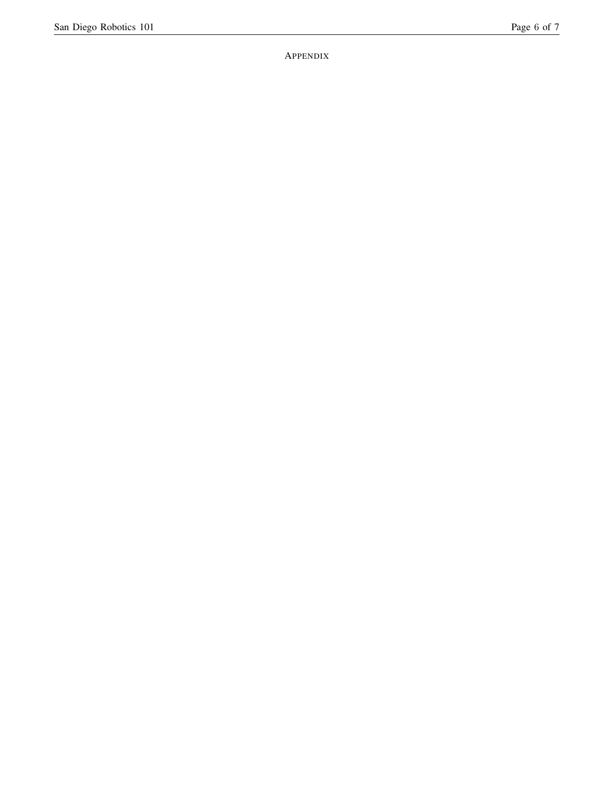APPENDIX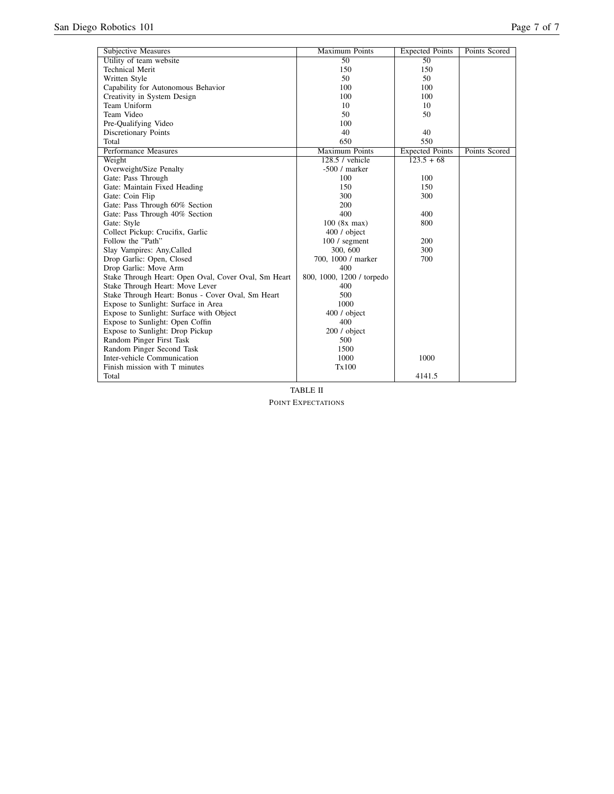| <b>Subjective Measures</b>                           | <b>Maximum Points</b>     | <b>Expected Points</b> | Points Scored |
|------------------------------------------------------|---------------------------|------------------------|---------------|
| Utility of team website                              | $\overline{50}$           | $\overline{50}$        |               |
| <b>Technical Merit</b>                               | 150                       | 150                    |               |
| Written Style                                        | 50                        | 50                     |               |
| Capability for Autonomous Behavior                   | 100                       | 100                    |               |
| Creativity in System Design                          | 100                       | 100                    |               |
| Team Uniform                                         | 10                        | 10                     |               |
| Team Video                                           | 50                        | 50                     |               |
| Pre-Qualifying Video                                 | 100                       |                        |               |
| Discretionary Points                                 | 40                        | 40                     |               |
| Total                                                | 650                       | 550                    |               |
| Performance Measures                                 | <b>Maximum Points</b>     | <b>Expected Points</b> | Points Scored |
| Weight                                               | $128.5$ / vehicle         | $\frac{123.5 + 68}{ }$ |               |
| Overweight/Size Penalty                              | $-500/$ marker            |                        |               |
| Gate: Pass Through                                   | 100                       | 100                    |               |
| Gate: Maintain Fixed Heading                         | 150                       | 150                    |               |
| Gate: Coin Flip                                      | 300                       | 300                    |               |
| Gate: Pass Through 60% Section                       | 200                       |                        |               |
| Gate: Pass Through 40% Section                       | 400                       | 400                    |               |
| Gate: Style                                          | 100 (8x max)              | 800                    |               |
| Collect Pickup: Crucifix, Garlic                     | 400 / object              |                        |               |
| Follow the "Path"                                    | $100/$ segment            | 200                    |               |
| Slay Vampires: Any, Called                           | 300, 600                  | 300                    |               |
| Drop Garlic: Open, Closed                            | 700, 1000 / marker        | 700                    |               |
| Drop Garlic: Move Arm                                | 400                       |                        |               |
| Stake Through Heart: Open Oval, Cover Oval, Sm Heart | 800, 1000, 1200 / torpedo |                        |               |
| Stake Through Heart: Move Lever                      | 400                       |                        |               |
| Stake Through Heart: Bonus - Cover Oval, Sm Heart    | 500                       |                        |               |
| Expose to Sunlight: Surface in Area                  | 1000                      |                        |               |
| Expose to Sunlight: Surface with Object              | 400 / object              |                        |               |
| Expose to Sunlight: Open Coffin                      | 400                       |                        |               |
| Expose to Sunlight: Drop Pickup                      | 200 / object              |                        |               |
| Random Pinger First Task                             | 500                       |                        |               |
| Random Pinger Second Task                            | 1500                      |                        |               |
| Inter-vehicle Communication                          | 1000                      | 1000                   |               |
| Finish mission with T minutes                        | Tx100                     |                        |               |
| Total                                                |                           | 4141.5                 |               |

TABLE II POINT EXPECTATIONS